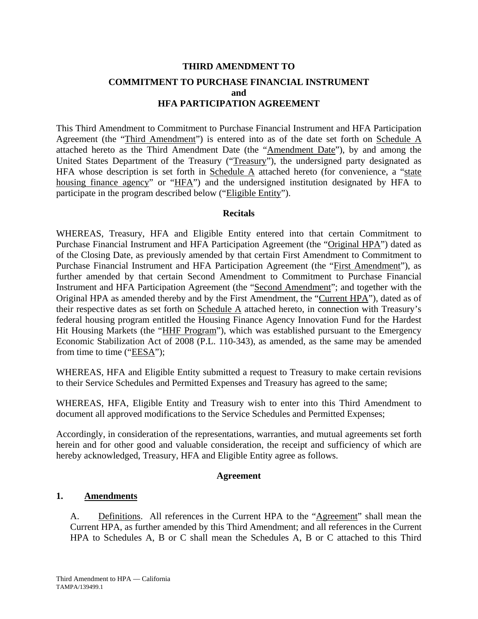# **THIRD AMENDMENT TO COMMITMENT TO PURCHASE FINANCIAL INSTRUMENT and HFA PARTICIPATION AGREEMENT**

This Third Amendment to Commitment to Purchase Financial Instrument and HFA Participation Agreement (the "Third Amendment") is entered into as of the date set forth on Schedule A attached hereto as the Third Amendment Date (the "Amendment Date"), by and among the United States Department of the Treasury ("Treasury"), the undersigned party designated as HFA whose description is set forth in Schedule  $\overline{A}$  attached hereto (for convenience, a "state housing finance agency" or "HFA") and the undersigned institution designated by HFA to participate in the program described below ("Eligible Entity").

#### **Recitals**

WHEREAS, Treasury, HFA and Eligible Entity entered into that certain Commitment to Purchase Financial Instrument and HFA Participation Agreement (the "Original HPA") dated as of the Closing Date, as previously amended by that certain First Amendment to Commitment to Purchase Financial Instrument and HFA Participation Agreement (the "First Amendment"), as further amended by that certain Second Amendment to Commitment to Purchase Financial Instrument and HFA Participation Agreement (the "Second Amendment"; and together with the Original HPA as amended thereby and by the First Amendment, the "Current HPA"), dated as of their respective dates as set forth on Schedule A attached hereto, in connection with Treasury's federal housing program entitled the Housing Finance Agency Innovation Fund for the Hardest Hit Housing Markets (the "HHF Program"), which was established pursuant to the Emergency Economic Stabilization Act of 2008 (P.L. 110-343), as amended, as the same may be amended from time to time ("EESA");

WHEREAS, HFA and Eligible Entity submitted a request to Treasury to make certain revisions to their Service Schedules and Permitted Expenses and Treasury has agreed to the same;

WHEREAS, HFA, Eligible Entity and Treasury wish to enter into this Third Amendment to document all approved modifications to the Service Schedules and Permitted Expenses;

Accordingly, in consideration of the representations, warranties, and mutual agreements set forth herein and for other good and valuable consideration, the receipt and sufficiency of which are hereby acknowledged, Treasury, HFA and Eligible Entity agree as follows.

#### **Agreement**

#### **1. Amendments**

A. Definitions. All references in the Current HPA to the "Agreement" shall mean the Current HPA, as further amended by this Third Amendment; and all references in the Current HPA to Schedules A, B or C shall mean the Schedules A, B or C attached to this Third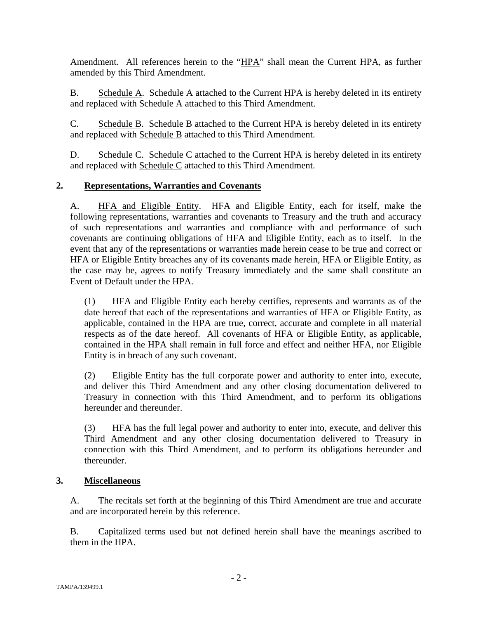Amendment. All references herein to the "HPA" shall mean the Current HPA, as further amended by this Third Amendment.

B. Schedule A. Schedule A attached to the Current HPA is hereby deleted in its entirety and replaced with Schedule A attached to this Third Amendment.

C. Schedule B. Schedule B attached to the Current HPA is hereby deleted in its entirety and replaced with Schedule B attached to this Third Amendment.

D. Schedule C. Schedule C attached to the Current HPA is hereby deleted in its entirety and replaced with Schedule C attached to this Third Amendment.

#### **2. Representations, Warranties and Covenants**

A. HFA and Eligible Entity. HFA and Eligible Entity, each for itself, make the following representations, warranties and covenants to Treasury and the truth and accuracy of such representations and warranties and compliance with and performance of such covenants are continuing obligations of HFA and Eligible Entity, each as to itself. In the event that any of the representations or warranties made herein cease to be true and correct or HFA or Eligible Entity breaches any of its covenants made herein, HFA or Eligible Entity, as the case may be, agrees to notify Treasury immediately and the same shall constitute an Event of Default under the HPA.

(1) HFA and Eligible Entity each hereby certifies, represents and warrants as of the date hereof that each of the representations and warranties of HFA or Eligible Entity, as applicable, contained in the HPA are true, correct, accurate and complete in all material respects as of the date hereof. All covenants of HFA or Eligible Entity, as applicable, contained in the HPA shall remain in full force and effect and neither HFA, nor Eligible Entity is in breach of any such covenant.

(2) Eligible Entity has the full corporate power and authority to enter into, execute, and deliver this Third Amendment and any other closing documentation delivered to Treasury in connection with this Third Amendment, and to perform its obligations hereunder and thereunder.

(3) HFA has the full legal power and authority to enter into, execute, and deliver this Third Amendment and any other closing documentation delivered to Treasury in connection with this Third Amendment, and to perform its obligations hereunder and thereunder.

#### **3. Miscellaneous**

A. The recitals set forth at the beginning of this Third Amendment are true and accurate and are incorporated herein by this reference.

B. Capitalized terms used but not defined herein shall have the meanings ascribed to them in the HPA.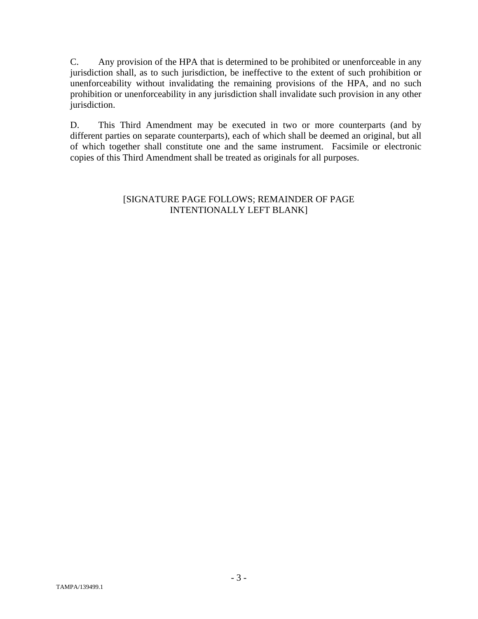C. Any provision of the HPA that is determined to be prohibited or unenforceable in any jurisdiction shall, as to such jurisdiction, be ineffective to the extent of such prohibition or unenforceability without invalidating the remaining provisions of the HPA, and no such prohibition or unenforceability in any jurisdiction shall invalidate such provision in any other jurisdiction.

D. This Third Amendment may be executed in two or more counterparts (and by different parties on separate counterparts), each of which shall be deemed an original, but all of which together shall constitute one and the same instrument. Facsimile or electronic copies of this Third Amendment shall be treated as originals for all purposes.

#### [SIGNATURE PAGE FOLLOWS; REMAINDER OF PAGE INTENTIONALLY LEFT BLANK]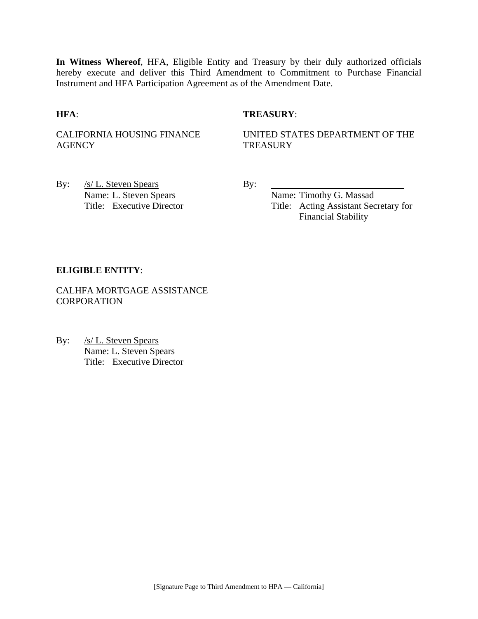**In Witness Whereof**, HFA, Eligible Entity and Treasury by their duly authorized officials hereby execute and deliver this Third Amendment to Commitment to Purchase Financial Instrument and HFA Participation Agreement as of the Amendment Date.

#### **HFA**: **TREASURY**:

CALIFORNIA HOUSING FINANCE **AGENCY** 

UNITED STATES DEPARTMENT OF THE **TREASURY** 

By: <u>/s/ L. Steven Spears</u> By: Name: L. Steven Spears Name: Timothy G. Massad

Title: Executive Director Title: Acting Assistant Secretary for Financial Stability

#### **ELIGIBLE ENTITY**:

CALHFA MORTGAGE ASSISTANCE **CORPORATION** 

By: /s/ L. Steven Spears Name: L. Steven Spears Title: Executive Director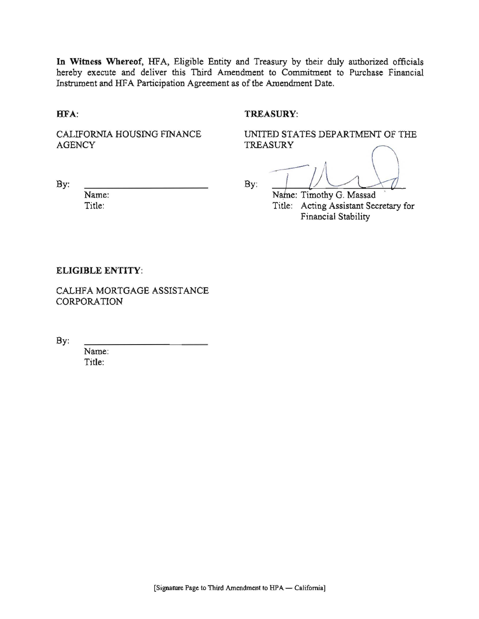In Witness Whereof, HFA, Eligible Entity and Treasury by their duly authorized officials hereby execute and deliver this Third Amendment to Commitment to Purchase Financial Instrument and HFA Participation Agreement as of the Amendment Date.

HFA:

#### **TREASURY:**

CALIFORNIA HOUSING FINANCE **AGENCY** 

UNITED STATES DEPARTMENT OF THE **TREASURY** 

By:

Name: Title:

By:

Name: Timothy G. Massad Title: Acting Assistant Secretary for Financial Stability

#### **ELIGIBLE ENTITY:**

CALHFA MORTGAGE ASSISTANCE **CORPORATION** 

By:

Name: Title: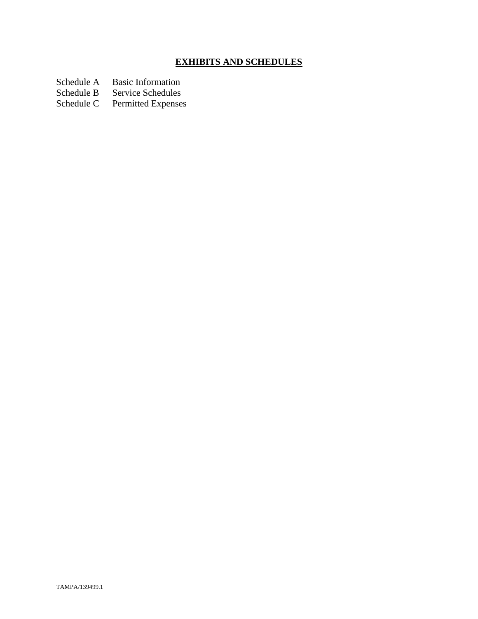# **EXHIBITS AND SCHEDULES**

- Schedule A Basic Information<br>Schedule B Service Schedules
- Schedule B Service Schedules<br>Schedule C Permitted Expenses
- Permitted Expenses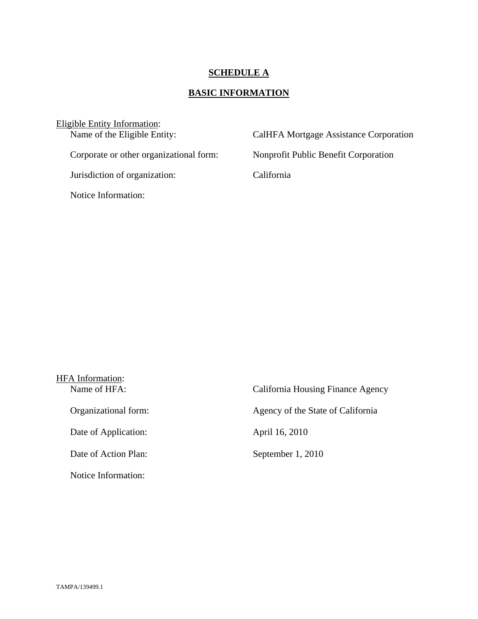# **SCHEDULE A**

# **BASIC INFORMATION**

| Eligible Entity Information:            |                                        |
|-----------------------------------------|----------------------------------------|
| Name of the Eligible Entity:            | CalHFA Mortgage Assistance Corporation |
|                                         |                                        |
| Corporate or other organizational form: | Nonprofit Public Benefit Corporation   |
|                                         |                                        |
| Jurisdiction of organization:           | California                             |
|                                         |                                        |
| Notice Information:                     |                                        |
|                                         |                                        |

| HFA Information:     |                                   |
|----------------------|-----------------------------------|
| Name of HFA:         | California Housing Finance Agency |
| Organizational form: | Agency of the State of California |
| Date of Application: | April 16, 2010                    |
| Date of Action Plan: | September 1, 2010                 |
| Notice Information:  |                                   |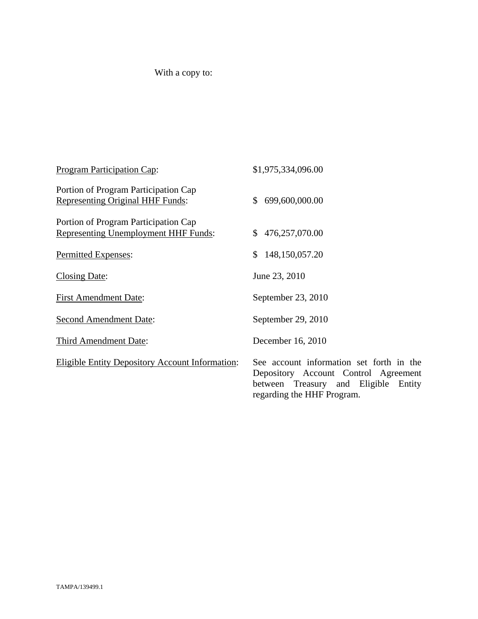# With a copy to:

| Program Participation Cap:                                                   | \$1,975,334,096.00                                                                                                                                        |
|------------------------------------------------------------------------------|-----------------------------------------------------------------------------------------------------------------------------------------------------------|
| Portion of Program Participation Cap<br>Representing Original HHF Funds:     | 699,600,000.00<br><sup>\$</sup>                                                                                                                           |
| Portion of Program Participation Cap<br>Representing Unemployment HHF Funds: | \$476,257,070.00                                                                                                                                          |
| Permitted Expenses:                                                          | 148,150,057.20<br>\$                                                                                                                                      |
| <b>Closing Date:</b>                                                         | June 23, 2010                                                                                                                                             |
| <b>First Amendment Date:</b>                                                 | September 23, 2010                                                                                                                                        |
| <b>Second Amendment Date:</b>                                                | September 29, 2010                                                                                                                                        |
| Third Amendment Date:                                                        | December 16, 2010                                                                                                                                         |
| <b>Eligible Entity Depository Account Information:</b>                       | See account information set forth in the<br>Depository Account Control Agreement<br>between Treasury and Eligible<br>Entity<br>regarding the HHF Program. |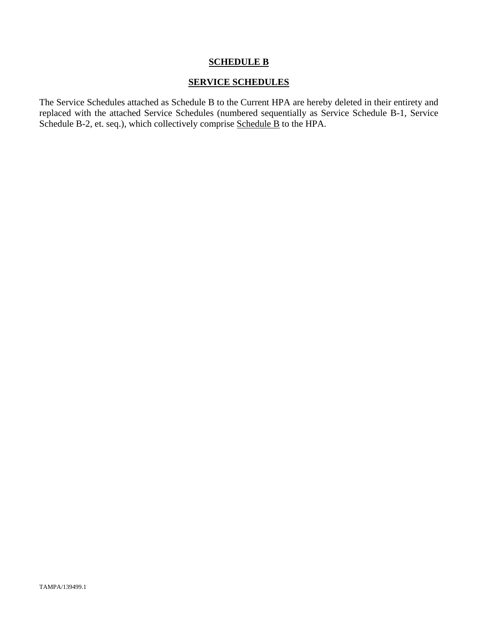#### **SERVICE SCHEDULES**

The Service Schedules attached as Schedule B to the Current HPA are hereby deleted in their entirety and replaced with the attached Service Schedules (numbered sequentially as Service Schedule B-1, Service Schedule B-2, et. seq.), which collectively comprise Schedule B to the HPA.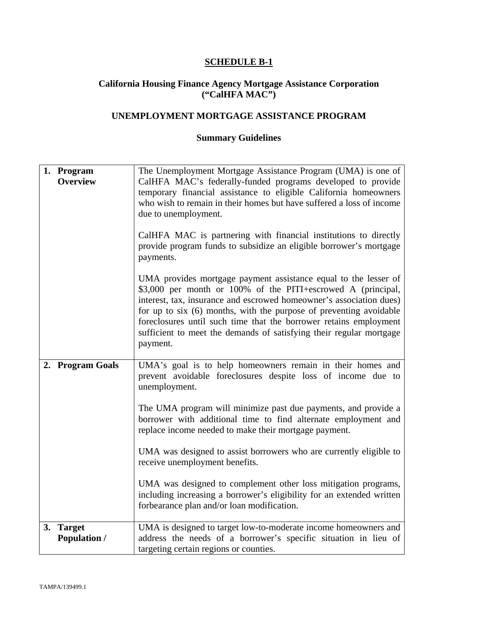#### **California Housing Finance Agency Mortgage Assistance Corporation ("CalHFA MAC")**

# **UNEMPLOYMENT MORTGAGE ASSISTANCE PROGRAM**

| 1. Program<br><b>Overview</b>    | The Unemployment Mortgage Assistance Program (UMA) is one of<br>CalHFA MAC's federally-funded programs developed to provide<br>temporary financial assistance to eligible California homeowners<br>who wish to remain in their homes but have suffered a loss of income<br>due to unemployment.<br>CalHFA MAC is partnering with financial institutions to directly<br>provide program funds to subsidize an eligible borrower's mortgage<br>payments.<br>UMA provides mortgage payment assistance equal to the lesser of<br>\$3,000 per month or 100% of the PITI+escrowed A (principal,<br>interest, tax, insurance and escrowed homeowner's association dues)<br>for up to six (6) months, with the purpose of preventing avoidable<br>foreclosures until such time that the borrower retains employment<br>sufficient to meet the demands of satisfying their regular mortgage<br>payment. |
|----------------------------------|------------------------------------------------------------------------------------------------------------------------------------------------------------------------------------------------------------------------------------------------------------------------------------------------------------------------------------------------------------------------------------------------------------------------------------------------------------------------------------------------------------------------------------------------------------------------------------------------------------------------------------------------------------------------------------------------------------------------------------------------------------------------------------------------------------------------------------------------------------------------------------------------|
| 2. Program Goals                 | UMA's goal is to help homeowners remain in their homes and<br>prevent avoidable foreclosures despite loss of income due to<br>unemployment.<br>The UMA program will minimize past due payments, and provide a<br>borrower with additional time to find alternate employment and<br>replace income needed to make their mortgage payment.<br>UMA was designed to assist borrowers who are currently eligible to<br>receive unemployment benefits.<br>UMA was designed to complement other loss mitigation programs,<br>including increasing a borrower's eligibility for an extended written<br>forbearance plan and/or loan modification.                                                                                                                                                                                                                                                      |
| 3. Target<br><b>Population /</b> | UMA is designed to target low-to-moderate income homeowners and<br>address the needs of a borrower's specific situation in lieu of<br>targeting certain regions or counties.                                                                                                                                                                                                                                                                                                                                                                                                                                                                                                                                                                                                                                                                                                                   |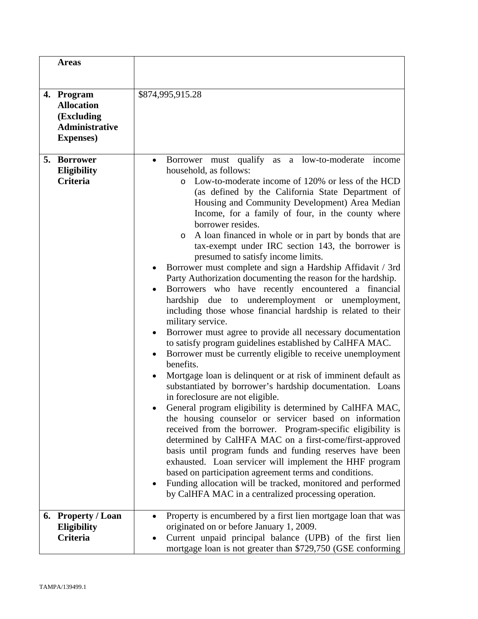|    | <b>Areas</b>                                                                                |                                                                                                                                                                                                                                                                                                                                                                                                                                                                                                                                                                                                                                                                                                                                                                                                                                                                                                                                                                                                                                                                                                                                                                                                                                                                                                                                                                                                                                                                                                                                                                                                                                                                                                                                                                                                    |
|----|---------------------------------------------------------------------------------------------|----------------------------------------------------------------------------------------------------------------------------------------------------------------------------------------------------------------------------------------------------------------------------------------------------------------------------------------------------------------------------------------------------------------------------------------------------------------------------------------------------------------------------------------------------------------------------------------------------------------------------------------------------------------------------------------------------------------------------------------------------------------------------------------------------------------------------------------------------------------------------------------------------------------------------------------------------------------------------------------------------------------------------------------------------------------------------------------------------------------------------------------------------------------------------------------------------------------------------------------------------------------------------------------------------------------------------------------------------------------------------------------------------------------------------------------------------------------------------------------------------------------------------------------------------------------------------------------------------------------------------------------------------------------------------------------------------------------------------------------------------------------------------------------------------|
|    | 4. Program<br><b>Allocation</b><br>(Excluding<br><b>Administrative</b><br><b>Expenses</b> ) | \$874,995,915.28                                                                                                                                                                                                                                                                                                                                                                                                                                                                                                                                                                                                                                                                                                                                                                                                                                                                                                                                                                                                                                                                                                                                                                                                                                                                                                                                                                                                                                                                                                                                                                                                                                                                                                                                                                                   |
| 5. | <b>Borrower</b><br><b>Eligibility</b><br><b>Criteria</b>                                    | Borrower must qualify<br>low-to-moderate<br>income<br>as<br>a<br>$\bullet$<br>household, as follows:<br>Low-to-moderate income of 120% or less of the HCD<br>$\circ$<br>(as defined by the California State Department of<br>Housing and Community Development) Area Median<br>Income, for a family of four, in the county where<br>borrower resides.<br>A loan financed in whole or in part by bonds that are<br>$\circ$<br>tax-exempt under IRC section 143, the borrower is<br>presumed to satisfy income limits.<br>Borrower must complete and sign a Hardship Affidavit / 3rd<br>Party Authorization documenting the reason for the hardship.<br>Borrowers who have recently encountered a financial<br>due to underemployment or unemployment,<br>hardship<br>including those whose financial hardship is related to their<br>military service.<br>Borrower must agree to provide all necessary documentation<br>to satisfy program guidelines established by CalHFA MAC.<br>Borrower must be currently eligible to receive unemployment<br>$\bullet$<br>benefits.<br>Mortgage loan is delinquent or at risk of imminent default as<br>substantiated by borrower's hardship documentation. Loans<br>in foreclosure are not eligible.<br>General program eligibility is determined by CalHFA MAC,<br>the housing counselor or servicer based on information<br>received from the borrower. Program-specific eligibility is<br>determined by CalHFA MAC on a first-come/first-approved<br>basis until program funds and funding reserves have been<br>exhausted. Loan servicer will implement the HHF program<br>based on participation agreement terms and conditions.<br>Funding allocation will be tracked, monitored and performed<br>by CalHFA MAC in a centralized processing operation. |
|    | 6. Property / Loan<br>Eligibility<br>Criteria                                               | Property is encumbered by a first lien mortgage loan that was<br>originated on or before January 1, 2009.<br>Current unpaid principal balance (UPB) of the first lien<br>mortgage loan is not greater than \$729,750 (GSE conforming                                                                                                                                                                                                                                                                                                                                                                                                                                                                                                                                                                                                                                                                                                                                                                                                                                                                                                                                                                                                                                                                                                                                                                                                                                                                                                                                                                                                                                                                                                                                                               |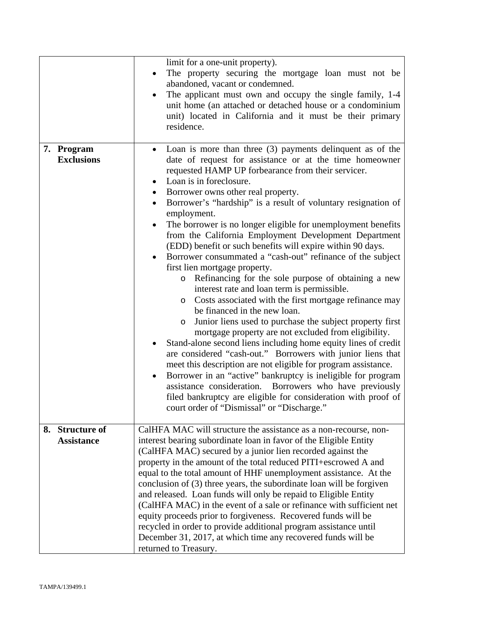|                                      | limit for a one-unit property).<br>The property securing the mortgage loan must not be<br>abandoned, vacant or condemned.<br>The applicant must own and occupy the single family, 1-4<br>unit home (an attached or detached house or a condominium<br>unit) located in California and it must be their primary<br>residence.                                                                                                                                                                                                                                                                                                                                                                                                                                                                                                                                                                                                                                                                                                                                                                                                                                                                                                                                                                                                                                                                                                                   |
|--------------------------------------|------------------------------------------------------------------------------------------------------------------------------------------------------------------------------------------------------------------------------------------------------------------------------------------------------------------------------------------------------------------------------------------------------------------------------------------------------------------------------------------------------------------------------------------------------------------------------------------------------------------------------------------------------------------------------------------------------------------------------------------------------------------------------------------------------------------------------------------------------------------------------------------------------------------------------------------------------------------------------------------------------------------------------------------------------------------------------------------------------------------------------------------------------------------------------------------------------------------------------------------------------------------------------------------------------------------------------------------------------------------------------------------------------------------------------------------------|
| 7. Program<br><b>Exclusions</b>      | Loan is more than three $(3)$ payments delinquent as of the<br>date of request for assistance or at the time homeowner<br>requested HAMP UP forbearance from their servicer.<br>Loan is in foreclosure.<br>٠<br>Borrower owns other real property.<br>$\bullet$<br>Borrower's "hardship" is a result of voluntary resignation of<br>employment.<br>The borrower is no longer eligible for unemployment benefits<br>from the California Employment Development Department<br>(EDD) benefit or such benefits will expire within 90 days.<br>Borrower consummated a "cash-out" refinance of the subject<br>first lien mortgage property.<br>Refinancing for the sole purpose of obtaining a new<br>$\circ$<br>interest rate and loan term is permissible.<br>Costs associated with the first mortgage refinance may<br>$\circ$<br>be financed in the new loan.<br>Junior liens used to purchase the subject property first<br>O<br>mortgage property are not excluded from eligibility.<br>Stand-alone second liens including home equity lines of credit<br>are considered "cash-out." Borrowers with junior liens that<br>meet this description are not eligible for program assistance.<br>Borrower in an "active" bankruptcy is ineligible for program<br>$\bullet$<br>assistance consideration. Borrowers who have previously<br>filed bankruptcy are eligible for consideration with proof of<br>court order of "Dismissal" or "Discharge." |
| 8. Structure of<br><b>Assistance</b> | CalHFA MAC will structure the assistance as a non-recourse, non-<br>interest bearing subordinate loan in favor of the Eligible Entity<br>(CalHFA MAC) secured by a junior lien recorded against the<br>property in the amount of the total reduced PITI+escrowed A and<br>equal to the total amount of HHF unemployment assistance. At the<br>conclusion of (3) three years, the subordinate loan will be forgiven<br>and released. Loan funds will only be repaid to Eligible Entity<br>(CalHFA MAC) in the event of a sale or refinance with sufficient net<br>equity proceeds prior to forgiveness. Recovered funds will be<br>recycled in order to provide additional program assistance until<br>December 31, 2017, at which time any recovered funds will be<br>returned to Treasury.                                                                                                                                                                                                                                                                                                                                                                                                                                                                                                                                                                                                                                                    |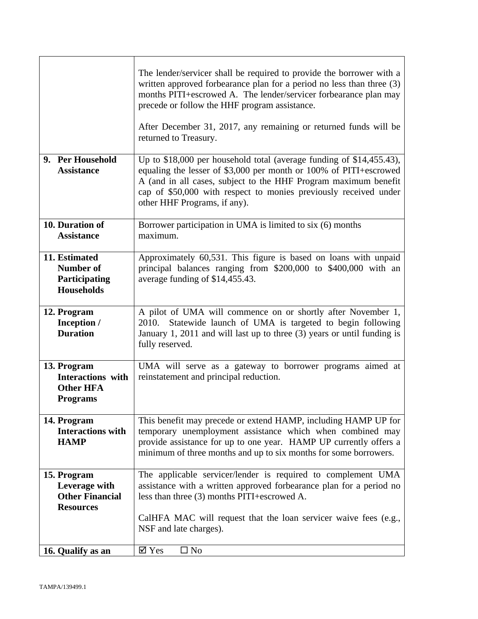|                                                                                | The lender/servicer shall be required to provide the borrower with a<br>written approved forbearance plan for a period no less than three (3)<br>months PITI+escrowed A. The lender/servicer forbearance plan may<br>precede or follow the HHF program assistance.<br>After December 31, 2017, any remaining or returned funds will be<br>returned to Treasury. |
|--------------------------------------------------------------------------------|-----------------------------------------------------------------------------------------------------------------------------------------------------------------------------------------------------------------------------------------------------------------------------------------------------------------------------------------------------------------|
| 9. Per Household<br><b>Assistance</b>                                          | Up to $$18,000$ per household total (average funding of $$14,455.43$ ),<br>equaling the lesser of \$3,000 per month or 100% of PITI+escrowed<br>A (and in all cases, subject to the HHF Program maximum benefit<br>cap of \$50,000 with respect to monies previously received under<br>other HHF Programs, if any).                                             |
| 10. Duration of<br><b>Assistance</b>                                           | Borrower participation in UMA is limited to six (6) months<br>maximum.                                                                                                                                                                                                                                                                                          |
| 11. Estimated<br><b>Number of</b><br>Participating<br><b>Households</b>        | Approximately 60,531. This figure is based on loans with unpaid<br>principal balances ranging from \$200,000 to \$400,000 with an<br>average funding of \$14,455.43.                                                                                                                                                                                            |
| 12. Program<br>Inception /<br><b>Duration</b>                                  | A pilot of UMA will commence on or shortly after November 1,<br>Statewide launch of UMA is targeted to begin following<br>2010.<br>January 1, 2011 and will last up to three (3) years or until funding is<br>fully reserved.                                                                                                                                   |
| 13. Program<br><b>Interactions</b> with<br><b>Other HFA</b><br><b>Programs</b> | UMA will serve as a gateway to borrower programs aimed at<br>reinstatement and principal reduction.                                                                                                                                                                                                                                                             |
| 14. Program<br><b>Interactions with</b><br><b>HAMP</b>                         | This benefit may precede or extend HAMP, including HAMP UP for<br>temporary unemployment assistance which when combined may<br>provide assistance for up to one year. HAMP UP currently offers a<br>minimum of three months and up to six months for some borrowers.                                                                                            |
| 15. Program<br>Leverage with<br><b>Other Financial</b><br><b>Resources</b>     | The applicable servicer/lender is required to complement UMA<br>assistance with a written approved forbearance plan for a period no<br>less than three (3) months PITI+escrowed A.                                                                                                                                                                              |
|                                                                                | CalHFA MAC will request that the loan servicer waive fees (e.g.,<br>NSF and late charges).                                                                                                                                                                                                                                                                      |
| 16. Qualify as an                                                              | $\boxtimes$ Yes<br>$\Box$ No                                                                                                                                                                                                                                                                                                                                    |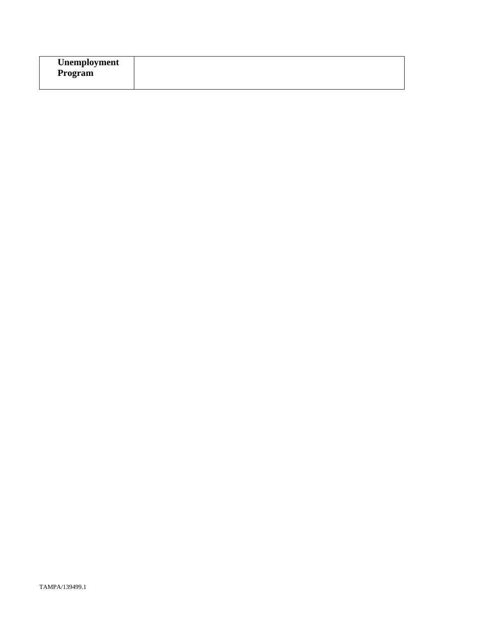| Unemployment |  |
|--------------|--|
| Program      |  |
|              |  |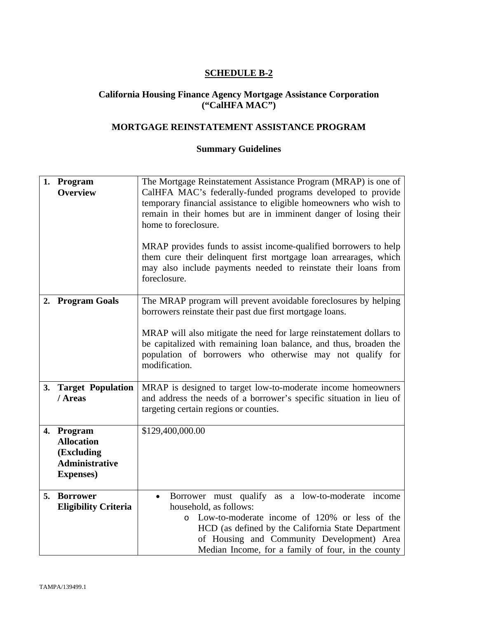#### **California Housing Finance Agency Mortgage Assistance Corporation ("CalHFA MAC")**

# **MORTGAGE REINSTATEMENT ASSISTANCE PROGRAM**

|    | 1. Program<br><b>Overview</b>                                                               | The Mortgage Reinstatement Assistance Program (MRAP) is one of<br>CalHFA MAC's federally-funded programs developed to provide<br>temporary financial assistance to eligible homeowners who wish to<br>remain in their homes but are in imminent danger of losing their<br>home to foreclosure.<br>MRAP provides funds to assist income-qualified borrowers to help<br>them cure their delinquent first mortgage loan arrearages, which |  |
|----|---------------------------------------------------------------------------------------------|----------------------------------------------------------------------------------------------------------------------------------------------------------------------------------------------------------------------------------------------------------------------------------------------------------------------------------------------------------------------------------------------------------------------------------------|--|
|    |                                                                                             | may also include payments needed to reinstate their loans from<br>foreclosure.                                                                                                                                                                                                                                                                                                                                                         |  |
| 2. | <b>Program Goals</b>                                                                        | The MRAP program will prevent avoidable foreclosures by helping<br>borrowers reinstate their past due first mortgage loans.                                                                                                                                                                                                                                                                                                            |  |
|    |                                                                                             | MRAP will also mitigate the need for large reinstatement dollars to<br>be capitalized with remaining loan balance, and thus, broaden the<br>population of borrowers who otherwise may not qualify for<br>modification.                                                                                                                                                                                                                 |  |
|    | 3. Target Population<br>/ Areas                                                             | MRAP is designed to target low-to-moderate income homeowners<br>and address the needs of a borrower's specific situation in lieu of<br>targeting certain regions or counties.                                                                                                                                                                                                                                                          |  |
|    | 4. Program<br><b>Allocation</b><br>(Excluding<br><b>Administrative</b><br><b>Expenses</b> ) | \$129,400,000.00                                                                                                                                                                                                                                                                                                                                                                                                                       |  |
| 5. | <b>Borrower</b><br><b>Eligibility Criteria</b>                                              | Borrower must qualify as a low-to-moderate income<br>$\bullet$<br>household, as follows:<br>Low-to-moderate income of 120% or less of the<br>$\circ$<br>HCD (as defined by the California State Department<br>of Housing and Community Development) Area<br>Median Income, for a family of four, in the county                                                                                                                         |  |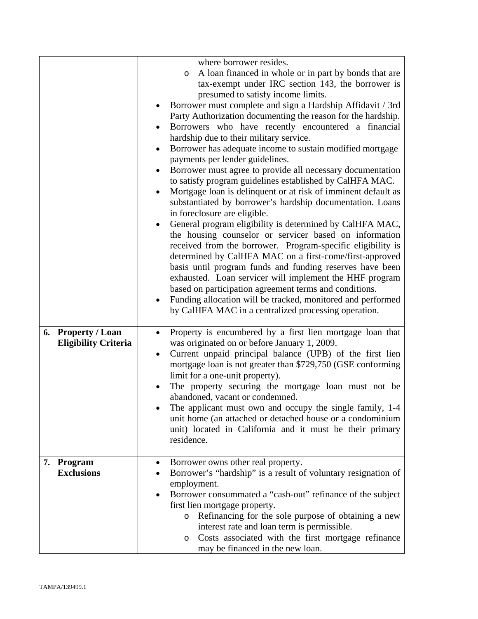|                             | where borrower resides.                                               |
|-----------------------------|-----------------------------------------------------------------------|
|                             | A loan financed in whole or in part by bonds that are<br>O            |
|                             | tax-exempt under IRC section 143, the borrower is                     |
|                             | presumed to satisfy income limits.                                    |
|                             | Borrower must complete and sign a Hardship Affidavit / 3rd            |
|                             | Party Authorization documenting the reason for the hardship.          |
|                             | Borrowers who have recently encountered a financial                   |
|                             | hardship due to their military service.                               |
|                             | Borrower has adequate income to sustain modified mortgage<br>٠        |
|                             | payments per lender guidelines.                                       |
|                             | Borrower must agree to provide all necessary documentation<br>٠       |
|                             | to satisfy program guidelines established by CalHFA MAC.              |
|                             | Mortgage loan is delinquent or at risk of imminent default as         |
|                             | substantiated by borrower's hardship documentation. Loans             |
|                             | in foreclosure are eligible.                                          |
|                             | General program eligibility is determined by CalHFA MAC,              |
|                             | the housing counselor or servicer based on information                |
|                             | received from the borrower. Program-specific eligibility is           |
|                             | determined by CalHFA MAC on a first-come/first-approved               |
|                             | basis until program funds and funding reserves have been              |
|                             | exhausted. Loan servicer will implement the HHF program               |
|                             | based on participation agreement terms and conditions.                |
|                             | Funding allocation will be tracked, monitored and performed           |
|                             | by CalHFA MAC in a centralized processing operation.                  |
|                             |                                                                       |
| 6. Property / Loan          | Property is encumbered by a first lien mortgage loan that             |
| <b>Eligibility Criteria</b> | was originated on or before January 1, 2009.                          |
|                             | Current unpaid principal balance (UPB) of the first lien<br>$\bullet$ |
|                             | mortgage loan is not greater than \$729,750 (GSE conforming           |
|                             | limit for a one-unit property).                                       |
|                             | The property securing the mortgage loan must not be                   |
|                             | abandoned, vacant or condemned.                                       |
|                             | The applicant must own and occupy the single family, 1-4              |
|                             | unit home (an attached or detached house or a condominium             |
|                             | unit) located in California and it must be their primary              |
|                             | residence.                                                            |
|                             |                                                                       |
| 7. Program                  | Borrower owns other real property.                                    |
| <b>Exclusions</b>           | Borrower's "hardship" is a result of voluntary resignation of         |
|                             | employment.                                                           |
|                             | Borrower consummated a "cash-out" refinance of the subject<br>٠       |
|                             | first lien mortgage property.                                         |
|                             | Refinancing for the sole purpose of obtaining a new<br>$\circ$        |
|                             | interest rate and loan term is permissible.                           |
|                             | Costs associated with the first mortgage refinance<br>$\circ$         |
|                             | may be financed in the new loan.                                      |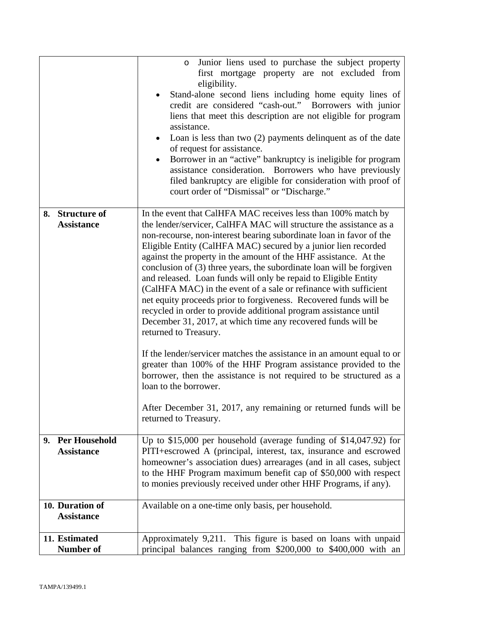|    |                                           | Junior liens used to purchase the subject property<br>$\circ$<br>first mortgage property are not excluded from<br>eligibility.<br>Stand-alone second liens including home equity lines of<br>credit are considered "cash-out." Borrowers with junior<br>liens that meet this description are not eligible for program<br>assistance.<br>Loan is less than two $(2)$ payments delinquent as of the date<br>$\bullet$<br>of request for assistance.<br>Borrower in an "active" bankruptcy is ineligible for program<br>assistance consideration. Borrowers who have previously<br>filed bankruptcy are eligible for consideration with proof of<br>court order of "Dismissal" or "Discharge."                                                                                                                                                                                                                                                                                                                                                                                                                                                 |
|----|-------------------------------------------|---------------------------------------------------------------------------------------------------------------------------------------------------------------------------------------------------------------------------------------------------------------------------------------------------------------------------------------------------------------------------------------------------------------------------------------------------------------------------------------------------------------------------------------------------------------------------------------------------------------------------------------------------------------------------------------------------------------------------------------------------------------------------------------------------------------------------------------------------------------------------------------------------------------------------------------------------------------------------------------------------------------------------------------------------------------------------------------------------------------------------------------------|
|    | 8. Structure of<br><b>Assistance</b>      | In the event that CalHFA MAC receives less than 100% match by<br>the lender/servicer, CalHFA MAC will structure the assistance as a<br>non-recourse, non-interest bearing subordinate loan in favor of the<br>Eligible Entity (CalHFA MAC) secured by a junior lien recorded<br>against the property in the amount of the HHF assistance. At the<br>conclusion of (3) three years, the subordinate loan will be forgiven<br>and released. Loan funds will only be repaid to Eligible Entity<br>(CalHFA MAC) in the event of a sale or refinance with sufficient<br>net equity proceeds prior to forgiveness. Recovered funds will be<br>recycled in order to provide additional program assistance until<br>December 31, 2017, at which time any recovered funds will be<br>returned to Treasury.<br>If the lender/servicer matches the assistance in an amount equal to or<br>greater than 100% of the HHF Program assistance provided to the<br>borrower, then the assistance is not required to be structured as a<br>loan to the borrower.<br>After December 31, 2017, any remaining or returned funds will be<br>returned to Treasury. |
| 9. | <b>Per Household</b><br><b>Assistance</b> | Up to $$15,000$ per household (average funding of $$14,047.92$ ) for<br>PITI+escrowed A (principal, interest, tax, insurance and escrowed<br>homeowner's association dues) arrearages (and in all cases, subject<br>to the HHF Program maximum benefit cap of \$50,000 with respect<br>to monies previously received under other HHF Programs, if any).                                                                                                                                                                                                                                                                                                                                                                                                                                                                                                                                                                                                                                                                                                                                                                                     |
|    | 10. Duration of<br><b>Assistance</b>      | Available on a one-time only basis, per household.                                                                                                                                                                                                                                                                                                                                                                                                                                                                                                                                                                                                                                                                                                                                                                                                                                                                                                                                                                                                                                                                                          |
|    | 11. Estimated<br><b>Number of</b>         | Approximately 9,211. This figure is based on loans with unpaid<br>principal balances ranging from \$200,000 to \$400,000 with an                                                                                                                                                                                                                                                                                                                                                                                                                                                                                                                                                                                                                                                                                                                                                                                                                                                                                                                                                                                                            |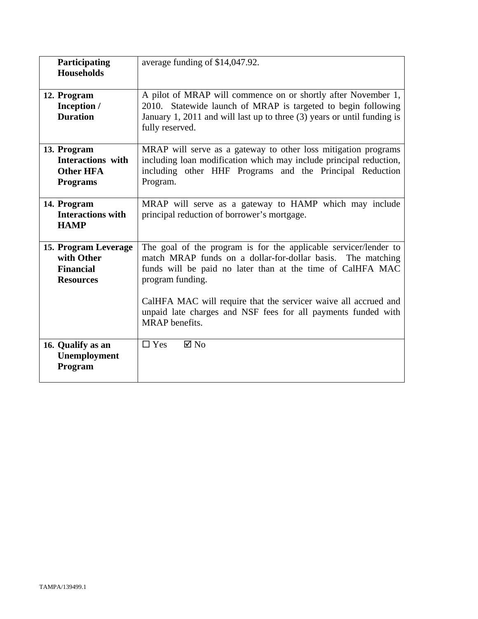| average funding of \$14,047.92.<br>Participating |                                                                         |
|--------------------------------------------------|-------------------------------------------------------------------------|
| <b>Households</b>                                |                                                                         |
|                                                  |                                                                         |
| 12. Program                                      | A pilot of MRAP will commence on or shortly after November 1,           |
| Inception /                                      | 2010. Statewide launch of MRAP is targeted to begin following           |
|                                                  |                                                                         |
| <b>Duration</b>                                  | January 1, 2011 and will last up to three (3) years or until funding is |
|                                                  | fully reserved.                                                         |
|                                                  |                                                                         |
| 13. Program                                      | MRAP will serve as a gateway to other loss mitigation programs          |
| <b>Interactions</b> with                         | including loan modification which may include principal reduction,      |
| <b>Other HFA</b>                                 | including other HHF Programs and the Principal Reduction                |
| <b>Programs</b>                                  | Program.                                                                |
|                                                  |                                                                         |
| 14. Program                                      | MRAP will serve as a gateway to HAMP which may include                  |
| <b>Interactions with</b>                         | principal reduction of borrower's mortgage.                             |
|                                                  |                                                                         |
| <b>HAMP</b>                                      |                                                                         |
|                                                  |                                                                         |
| 15. Program Leverage                             | The goal of the program is for the applicable servicer/lender to        |
| with Other                                       | match MRAP funds on a dollar-for-dollar basis. The matching             |
| <b>Financial</b>                                 | funds will be paid no later than at the time of CalHFA MAC              |
| <b>Resources</b>                                 | program funding.                                                        |
|                                                  |                                                                         |
|                                                  | CalHFA MAC will require that the servicer waive all accrued and         |
|                                                  | unpaid late charges and NSF fees for all payments funded with           |
|                                                  | <b>MRAP</b> benefits.                                                   |
|                                                  |                                                                         |
|                                                  |                                                                         |
| 16. Qualify as an                                | $\boxtimes$ No<br>$\Box$ Yes                                            |
| Unemployment                                     |                                                                         |
| Program                                          |                                                                         |
|                                                  |                                                                         |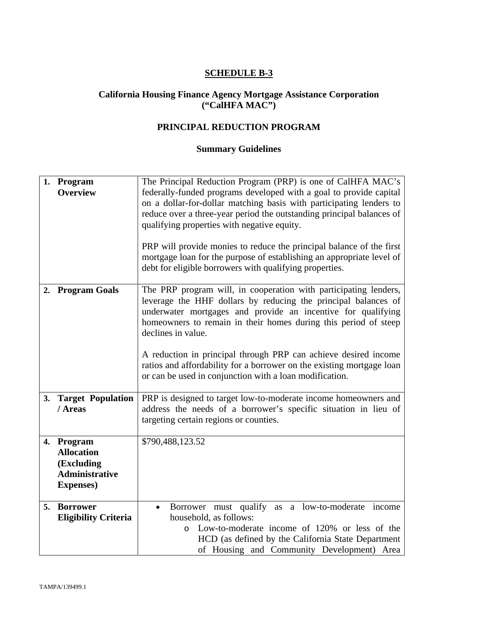#### **California Housing Finance Agency Mortgage Assistance Corporation ("CalHFA MAC")**

# **PRINCIPAL REDUCTION PROGRAM**

| 1. Program<br><b>Overview</b>                                                               | The Principal Reduction Program (PRP) is one of CalHFA MAC's<br>federally-funded programs developed with a goal to provide capital<br>on a dollar-for-dollar matching basis with participating lenders to<br>reduce over a three-year period the outstanding principal balances of<br>qualifying properties with negative equity.<br>PRP will provide monies to reduce the principal balance of the first<br>mortgage loan for the purpose of establishing an appropriate level of<br>debt for eligible borrowers with qualifying properties. |  |
|---------------------------------------------------------------------------------------------|-----------------------------------------------------------------------------------------------------------------------------------------------------------------------------------------------------------------------------------------------------------------------------------------------------------------------------------------------------------------------------------------------------------------------------------------------------------------------------------------------------------------------------------------------|--|
| 2. Program Goals                                                                            | The PRP program will, in cooperation with participating lenders,<br>leverage the HHF dollars by reducing the principal balances of<br>underwater mortgages and provide an incentive for qualifying<br>homeowners to remain in their homes during this period of steep<br>declines in value.<br>A reduction in principal through PRP can achieve desired income<br>ratios and affordability for a borrower on the existing mortgage loan<br>or can be used in conjunction with a loan modification.                                            |  |
| 3. Target Population<br>/ Areas                                                             | PRP is designed to target low-to-moderate income homeowners and<br>address the needs of a borrower's specific situation in lieu of<br>targeting certain regions or counties.                                                                                                                                                                                                                                                                                                                                                                  |  |
| 4. Program<br><b>Allocation</b><br>(Excluding<br><b>Administrative</b><br><b>Expenses</b> ) | \$790,488,123.52                                                                                                                                                                                                                                                                                                                                                                                                                                                                                                                              |  |
| 5. Borrower<br><b>Eligibility Criteria</b>                                                  | Borrower must qualify as a low-to-moderate income<br>$\bullet$<br>household, as follows:<br>Low-to-moderate income of 120% or less of the<br>$\circ$<br>HCD (as defined by the California State Department<br>of Housing and Community Development) Area                                                                                                                                                                                                                                                                                      |  |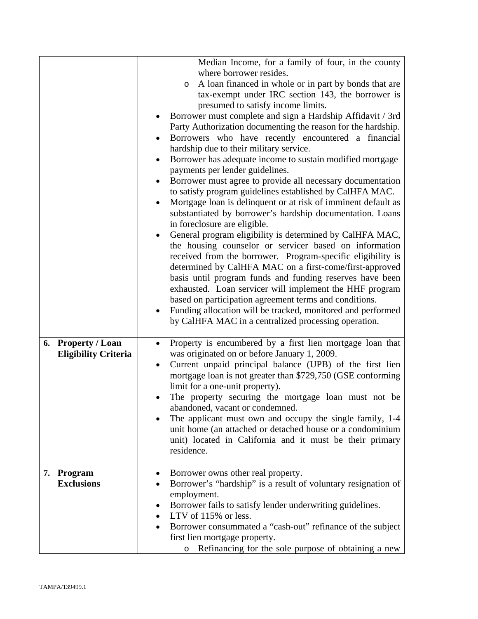|                             | Median Income, for a family of four, in the county<br>where borrower resides. |  |  |
|-----------------------------|-------------------------------------------------------------------------------|--|--|
|                             |                                                                               |  |  |
|                             | A loan financed in whole or in part by bonds that are<br>$\circ$              |  |  |
|                             | tax-exempt under IRC section 143, the borrower is                             |  |  |
|                             | presumed to satisfy income limits.                                            |  |  |
|                             | Borrower must complete and sign a Hardship Affidavit / 3rd                    |  |  |
|                             | Party Authorization documenting the reason for the hardship.                  |  |  |
|                             | Borrowers who have recently encountered a financial                           |  |  |
|                             | hardship due to their military service.                                       |  |  |
|                             | Borrower has adequate income to sustain modified mortgage<br>٠                |  |  |
|                             | payments per lender guidelines.                                               |  |  |
|                             | Borrower must agree to provide all necessary documentation                    |  |  |
|                             | to satisfy program guidelines established by CalHFA MAC.                      |  |  |
|                             | Mortgage loan is delinquent or at risk of imminent default as<br>$\bullet$    |  |  |
|                             |                                                                               |  |  |
|                             | substantiated by borrower's hardship documentation. Loans                     |  |  |
|                             | in foreclosure are eligible.                                                  |  |  |
|                             | General program eligibility is determined by CalHFA MAC,                      |  |  |
|                             | the housing counselor or servicer based on information                        |  |  |
|                             | received from the borrower. Program-specific eligibility is                   |  |  |
|                             | determined by CalHFA MAC on a first-come/first-approved                       |  |  |
|                             | basis until program funds and funding reserves have been                      |  |  |
|                             | exhausted. Loan servicer will implement the HHF program                       |  |  |
|                             | based on participation agreement terms and conditions.                        |  |  |
|                             | Funding allocation will be tracked, monitored and performed                   |  |  |
|                             | by CalHFA MAC in a centralized processing operation.                          |  |  |
|                             |                                                                               |  |  |
| 6. Property / Loan          | Property is encumbered by a first lien mortgage loan that<br>$\bullet$        |  |  |
| <b>Eligibility Criteria</b> | was originated on or before January 1, 2009.                                  |  |  |
|                             | Current unpaid principal balance (UPB) of the first lien<br>٠                 |  |  |
|                             | mortgage loan is not greater than \$729,750 (GSE conforming                   |  |  |
|                             | limit for a one-unit property).                                               |  |  |
|                             | The property securing the mortgage loan must not be                           |  |  |
|                             | abandoned, vacant or condemned.                                               |  |  |
|                             | The applicant must own and occupy the single family, 1-4<br>$\bullet$         |  |  |
|                             | unit home (an attached or detached house or a condominium                     |  |  |
|                             | unit) located in California and it must be their primary                      |  |  |
|                             | residence.                                                                    |  |  |
|                             |                                                                               |  |  |
|                             |                                                                               |  |  |
| 7. Program                  | Borrower owns other real property.<br>٠                                       |  |  |
| <b>Exclusions</b>           | Borrower's "hardship" is a result of voluntary resignation of                 |  |  |
|                             | employment.                                                                   |  |  |
|                             | Borrower fails to satisfy lender underwriting guidelines.<br>٠                |  |  |
|                             | LTV of 115% or less.                                                          |  |  |
|                             | Borrower consummated a "cash-out" refinance of the subject                    |  |  |
|                             | first lien mortgage property.                                                 |  |  |
|                             | Refinancing for the sole purpose of obtaining a new<br>O                      |  |  |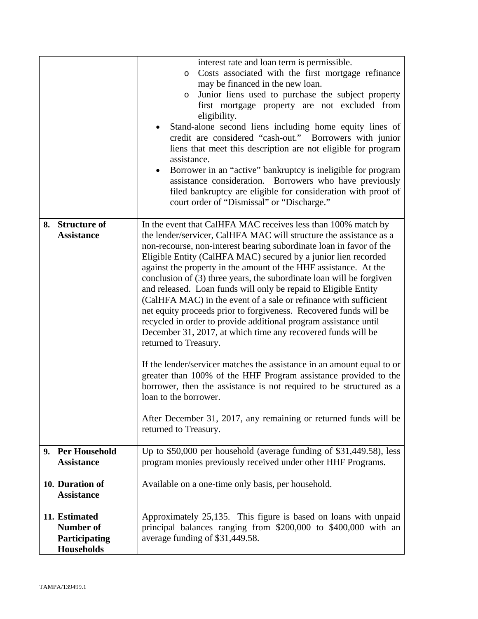|                                       |                                    | interest rate and loan term is permissible.<br>Costs associated with the first mortgage refinance<br>$\circ$<br>may be financed in the new loan.<br>Junior liens used to purchase the subject property<br>$\circ$<br>first mortgage property are not excluded from<br>eligibility.<br>Stand-alone second liens including home equity lines of<br>credit are considered "cash-out." Borrowers with junior<br>liens that meet this description are not eligible for program<br>assistance.<br>Borrower in an "active" bankruptcy is ineligible for program<br>assistance consideration. Borrowers who have previously<br>filed bankruptcy are eligible for consideration with proof of<br>court order of "Dismissal" or "Discharge."                                                                                                                                                                                                                                                                                                                                                                                                          |  |
|---------------------------------------|------------------------------------|---------------------------------------------------------------------------------------------------------------------------------------------------------------------------------------------------------------------------------------------------------------------------------------------------------------------------------------------------------------------------------------------------------------------------------------------------------------------------------------------------------------------------------------------------------------------------------------------------------------------------------------------------------------------------------------------------------------------------------------------------------------------------------------------------------------------------------------------------------------------------------------------------------------------------------------------------------------------------------------------------------------------------------------------------------------------------------------------------------------------------------------------|--|
| 8. Structure of<br><b>Assistance</b>  |                                    | In the event that CalHFA MAC receives less than 100% match by<br>the lender/servicer, CalHFA MAC will structure the assistance as a<br>non-recourse, non-interest bearing subordinate loan in favor of the<br>Eligible Entity (CalHFA MAC) secured by a junior lien recorded<br>against the property in the amount of the HHF assistance. At the<br>conclusion of (3) three years, the subordinate loan will be forgiven<br>and released. Loan funds will only be repaid to Eligible Entity<br>(CalHFA MAC) in the event of a sale or refinance with sufficient<br>net equity proceeds prior to forgiveness. Recovered funds will be<br>recycled in order to provide additional program assistance until<br>December 31, 2017, at which time any recovered funds will be<br>returned to Treasury.<br>If the lender/servicer matches the assistance in an amount equal to or<br>greater than 100% of the HHF Program assistance provided to the<br>borrower, then the assistance is not required to be structured as a<br>loan to the borrower.<br>After December 31, 2017, any remaining or returned funds will be<br>returned to Treasury. |  |
| 9. Per Household<br><b>Assistance</b> |                                    | Up to $$50,000$ per household (average funding of $$31,449.58$ ), less<br>program monies previously received under other HHF Programs.                                                                                                                                                                                                                                                                                                                                                                                                                                                                                                                                                                                                                                                                                                                                                                                                                                                                                                                                                                                                      |  |
| 10. Duration of<br><b>Assistance</b>  |                                    | Available on a one-time only basis, per household.                                                                                                                                                                                                                                                                                                                                                                                                                                                                                                                                                                                                                                                                                                                                                                                                                                                                                                                                                                                                                                                                                          |  |
| 11. Estimated<br><b>Number of</b>     | Participating<br><b>Households</b> | Approximately 25,135. This figure is based on loans with unpaid<br>principal balances ranging from \$200,000 to \$400,000 with an<br>average funding of \$31,449.58.                                                                                                                                                                                                                                                                                                                                                                                                                                                                                                                                                                                                                                                                                                                                                                                                                                                                                                                                                                        |  |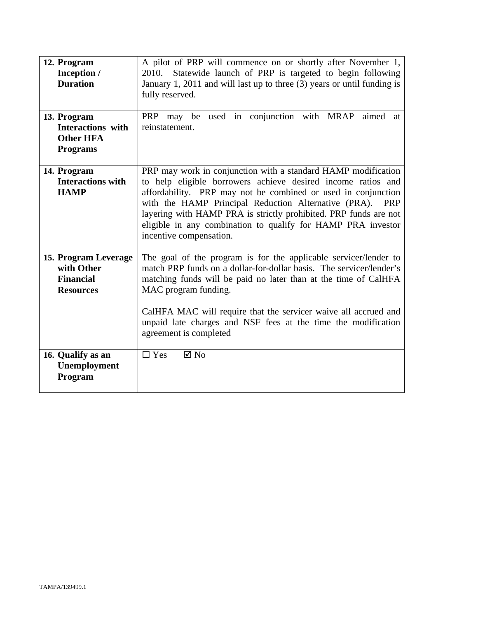| 12. Program<br>Inception /<br><b>Duration</b>                                  | A pilot of PRP will commence on or shortly after November 1,<br>Statewide launch of PRP is targeted to begin following<br>2010.<br>January 1, 2011 and will last up to three (3) years or until funding is<br>fully reserved.                                                                                                                                                                                                       |  |
|--------------------------------------------------------------------------------|-------------------------------------------------------------------------------------------------------------------------------------------------------------------------------------------------------------------------------------------------------------------------------------------------------------------------------------------------------------------------------------------------------------------------------------|--|
| 13. Program<br><b>Interactions</b> with<br><b>Other HFA</b><br><b>Programs</b> | PRP may be used in conjunction with MRAP<br>aimed at<br>reinstatement.                                                                                                                                                                                                                                                                                                                                                              |  |
| 14. Program<br><b>Interactions with</b><br><b>HAMP</b>                         | PRP may work in conjunction with a standard HAMP modification<br>to help eligible borrowers achieve desired income ratios and<br>affordability. PRP may not be combined or used in conjunction<br>with the HAMP Principal Reduction Alternative (PRA).<br><b>PRP</b><br>layering with HAMP PRA is strictly prohibited. PRP funds are not<br>eligible in any combination to qualify for HAMP PRA investor<br>incentive compensation. |  |
| 15. Program Leverage<br>with Other<br><b>Financial</b><br><b>Resources</b>     | The goal of the program is for the applicable servicer/lender to<br>match PRP funds on a dollar-for-dollar basis. The servicer/lender's<br>matching funds will be paid no later than at the time of CalHFA<br>MAC program funding.<br>CalHFA MAC will require that the servicer waive all accrued and<br>unpaid late charges and NSF fees at the time the modification<br>agreement is completed                                    |  |
| 16. Qualify as an<br>Unemployment<br>Program                                   | $\Box$ Yes<br>$\boxtimes$ No                                                                                                                                                                                                                                                                                                                                                                                                        |  |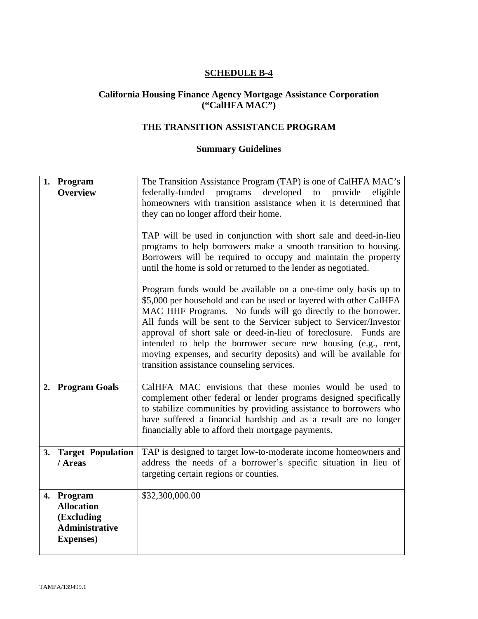#### **California Housing Finance Agency Mortgage Assistance Corporation ("CalHFA MAC")**

# **THE TRANSITION ASSISTANCE PROGRAM**

|    | 1. Program<br><b>Overview</b>                                                               | The Transition Assistance Program (TAP) is one of CalHFA MAC's<br>federally-funded<br>programs developed to provide<br>eligible<br>homeowners with transition assistance when it is determined that<br>they can no longer afford their home.<br>TAP will be used in conjunction with short sale and deed-in-lieu<br>programs to help borrowers make a smooth transition to housing.<br>Borrowers will be required to occupy and maintain the property<br>until the home is sold or returned to the lender as negotiated.                |  |
|----|---------------------------------------------------------------------------------------------|-----------------------------------------------------------------------------------------------------------------------------------------------------------------------------------------------------------------------------------------------------------------------------------------------------------------------------------------------------------------------------------------------------------------------------------------------------------------------------------------------------------------------------------------|--|
|    |                                                                                             | Program funds would be available on a one-time only basis up to<br>\$5,000 per household and can be used or layered with other CalHFA<br>MAC HHF Programs. No funds will go directly to the borrower.<br>All funds will be sent to the Servicer subject to Servicer/Investor<br>approval of short sale or deed-in-lieu of foreclosure.<br>Funds are<br>intended to help the borrower secure new housing (e.g., rent,<br>moving expenses, and security deposits) and will be available for<br>transition assistance counseling services. |  |
| 2. | <b>Program Goals</b>                                                                        | CalHFA MAC envisions that these monies would be used to<br>complement other federal or lender programs designed specifically<br>to stabilize communities by providing assistance to borrowers who<br>have suffered a financial hardship and as a result are no longer<br>financially able to afford their mortgage payments.                                                                                                                                                                                                            |  |
| 3. | <b>Target Population</b><br>/ Areas                                                         | TAP is designed to target low-to-moderate income homeowners and<br>address the needs of a borrower's specific situation in lieu of<br>targeting certain regions or counties.                                                                                                                                                                                                                                                                                                                                                            |  |
|    | 4. Program<br><b>Allocation</b><br>(Excluding<br><b>Administrative</b><br><b>Expenses</b> ) | \$32,300,000.00                                                                                                                                                                                                                                                                                                                                                                                                                                                                                                                         |  |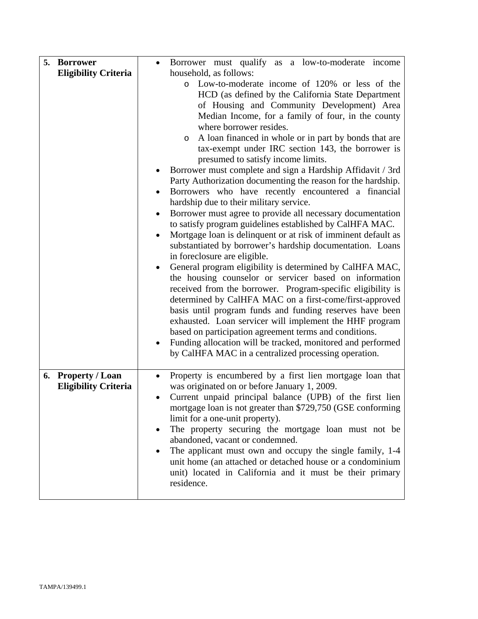| 5. Borrower<br><b>Eligibility Criteria</b>        | Borrower must qualify as a low-to-moderate income<br>household, as follows:<br>o Low-to-moderate income of 120% or less of the<br>HCD (as defined by the California State Department<br>of Housing and Community Development) Area<br>Median Income, for a family of four, in the county<br>where borrower resides.<br>A loan financed in whole or in part by bonds that are<br>O<br>tax-exempt under IRC section 143, the borrower is<br>presumed to satisfy income limits.<br>Borrower must complete and sign a Hardship Affidavit / 3rd<br>Party Authorization documenting the reason for the hardship.<br>Borrowers who have recently encountered a financial<br>٠<br>hardship due to their military service.<br>Borrower must agree to provide all necessary documentation<br>$\bullet$ |
|---------------------------------------------------|----------------------------------------------------------------------------------------------------------------------------------------------------------------------------------------------------------------------------------------------------------------------------------------------------------------------------------------------------------------------------------------------------------------------------------------------------------------------------------------------------------------------------------------------------------------------------------------------------------------------------------------------------------------------------------------------------------------------------------------------------------------------------------------------|
|                                                   | to satisfy program guidelines established by CalHFA MAC.<br>Mortgage loan is delinquent or at risk of imminent default as<br>substantiated by borrower's hardship documentation. Loans<br>in foreclosure are eligible.<br>General program eligibility is determined by CalHFA MAC,<br>the housing counselor or servicer based on information<br>received from the borrower. Program-specific eligibility is<br>determined by CalHFA MAC on a first-come/first-approved<br>basis until program funds and funding reserves have been<br>exhausted. Loan servicer will implement the HHF program<br>based on participation agreement terms and conditions.<br>Funding allocation will be tracked, monitored and performed<br>by CalHFA MAC in a centralized processing operation.               |
| 6. Property / Loan<br><b>Eligibility Criteria</b> | Property is encumbered by a first lien mortgage loan that<br>was originated on or before January 1, 2009.<br>Current unpaid principal balance (UPB) of the first lien<br>٠<br>mortgage loan is not greater than \$729,750 (GSE conforming<br>limit for a one-unit property).<br>The property securing the mortgage loan must not be<br>abandoned, vacant or condemned.<br>The applicant must own and occupy the single family, 1-4<br>unit home (an attached or detached house or a condominium<br>unit) located in California and it must be their primary<br>residence.                                                                                                                                                                                                                    |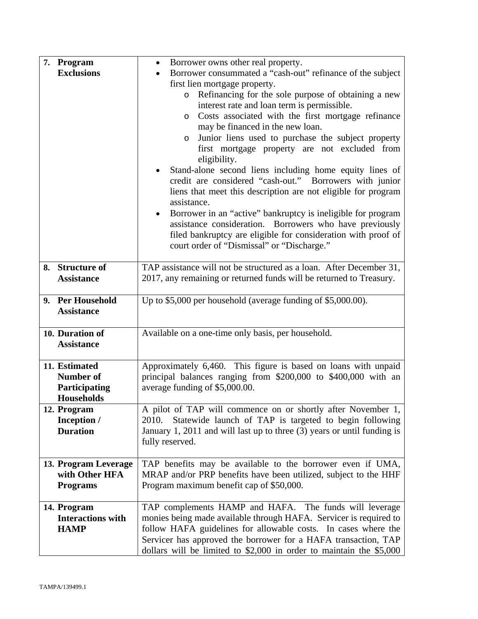| 7. Program                              | Borrower owns other real property.<br>$\bullet$                                                                                            |  |  |
|-----------------------------------------|--------------------------------------------------------------------------------------------------------------------------------------------|--|--|
| <b>Exclusions</b>                       | Borrower consummated a "cash-out" refinance of the subject                                                                                 |  |  |
|                                         | first lien mortgage property.<br>Refinancing for the sole purpose of obtaining a new<br>$\circ$                                            |  |  |
|                                         | interest rate and loan term is permissible.                                                                                                |  |  |
|                                         | Costs associated with the first mortgage refinance<br>$\circ$                                                                              |  |  |
|                                         | may be financed in the new loan.                                                                                                           |  |  |
|                                         | Junior liens used to purchase the subject property<br>$\circ$                                                                              |  |  |
|                                         | first mortgage property are not excluded from                                                                                              |  |  |
|                                         | eligibility.                                                                                                                               |  |  |
|                                         | Stand-alone second liens including home equity lines of                                                                                    |  |  |
|                                         | credit are considered "cash-out." Borrowers with junior                                                                                    |  |  |
|                                         | liens that meet this description are not eligible for program<br>assistance.                                                               |  |  |
|                                         | Borrower in an "active" bankruptcy is ineligible for program<br>$\bullet$                                                                  |  |  |
|                                         | assistance consideration. Borrowers who have previously                                                                                    |  |  |
|                                         | filed bankruptcy are eligible for consideration with proof of                                                                              |  |  |
|                                         | court order of "Dismissal" or "Discharge."                                                                                                 |  |  |
|                                         |                                                                                                                                            |  |  |
| 8. Structure of<br><b>Assistance</b>    | TAP assistance will not be structured as a loan. After December 31,<br>2017, any remaining or returned funds will be returned to Treasury. |  |  |
|                                         |                                                                                                                                            |  |  |
| 9. Per Household                        | Up to $$5,000$ per household (average funding of $$5,000.00$ ).                                                                            |  |  |
| <b>Assistance</b>                       |                                                                                                                                            |  |  |
|                                         |                                                                                                                                            |  |  |
| 10. Duration of<br><b>Assistance</b>    | Available on a one-time only basis, per household.                                                                                         |  |  |
|                                         |                                                                                                                                            |  |  |
| 11. Estimated                           | Approximately 6,460. This figure is based on loans with unpaid                                                                             |  |  |
| <b>Number of</b>                        | principal balances ranging from \$200,000 to \$400,000 with an                                                                             |  |  |
| Participating                           | average funding of \$5,000.00.                                                                                                             |  |  |
| <b>Households</b>                       |                                                                                                                                            |  |  |
| 12. Program                             | A pilot of TAP will commence on or shortly after November 1,                                                                               |  |  |
| Inception /<br><b>Duration</b>          | Statewide launch of TAP is targeted to begin following<br>2010.                                                                            |  |  |
|                                         | January 1, 2011 and will last up to three (3) years or until funding is<br>fully reserved.                                                 |  |  |
|                                         |                                                                                                                                            |  |  |
| 13. Program Leverage                    | TAP benefits may be available to the borrower even if UMA,                                                                                 |  |  |
| with Other HFA                          | MRAP and/or PRP benefits have been utilized, subject to the HHF                                                                            |  |  |
| <b>Programs</b>                         | Program maximum benefit cap of \$50,000.                                                                                                   |  |  |
|                                         |                                                                                                                                            |  |  |
| 14. Program<br><b>Interactions with</b> | TAP complements HAMP and HAFA. The funds will leverage<br>monies being made available through HAFA. Servicer is required to                |  |  |
| <b>HAMP</b>                             | follow HAFA guidelines for allowable costs. In cases where the                                                                             |  |  |
|                                         | Servicer has approved the borrower for a HAFA transaction, TAP                                                                             |  |  |
|                                         | dollars will be limited to $$2,000$ in order to maintain the $$5,000$                                                                      |  |  |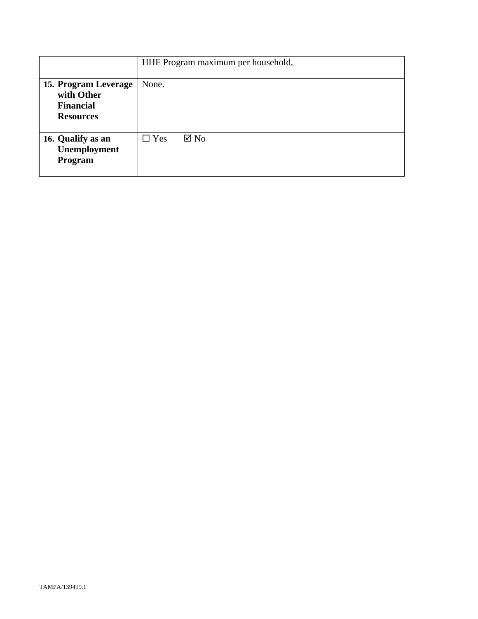|                                                                            | HHF Program maximum per household. |  |
|----------------------------------------------------------------------------|------------------------------------|--|
| 15. Program Leverage<br>with Other<br><b>Financial</b><br><b>Resources</b> | None.                              |  |
| 16. Qualify as an<br>Unemployment<br>Program                               | $\boxtimes$ No<br>$\Box$ Yes       |  |